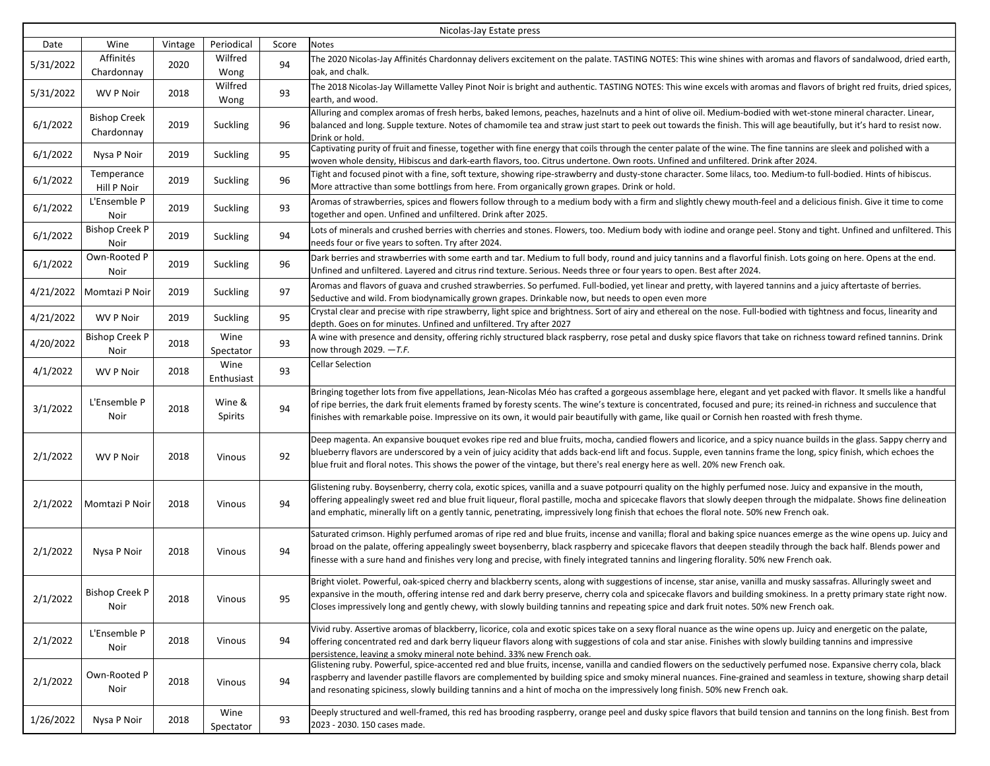| Nicolas-Jay Estate press |                                   |         |                    |       |                                                                                                                                                                                                                                                                                                                                                                                                                                                                                                |  |  |
|--------------------------|-----------------------------------|---------|--------------------|-------|------------------------------------------------------------------------------------------------------------------------------------------------------------------------------------------------------------------------------------------------------------------------------------------------------------------------------------------------------------------------------------------------------------------------------------------------------------------------------------------------|--|--|
| Date                     | Wine                              | Vintage | Periodical         | Score | Notes                                                                                                                                                                                                                                                                                                                                                                                                                                                                                          |  |  |
| 5/31/2022                | Affinités<br>Chardonnay           | 2020    | Wilfred<br>Wong    | 94    | The 2020 Nicolas-Jay Affinités Chardonnay delivers excitement on the palate. TASTING NOTES: This wine shines with aromas and flavors of sandalwood, dried earth,<br>oak, and chalk.                                                                                                                                                                                                                                                                                                            |  |  |
| 5/31/2022                | <b>WV P Noir</b>                  | 2018    | Wilfred<br>Wong    | 93    | The 2018 Nicolas-Jay Willamette Valley Pinot Noir is bright and authentic. TASTING NOTES: This wine excels with aromas and flavors of bright red fruits, dried spices,<br>earth, and wood.                                                                                                                                                                                                                                                                                                     |  |  |
| 6/1/2022                 | <b>Bishop Creek</b><br>Chardonnay | 2019    | Suckling           | 96    | Alluring and complex aromas of fresh herbs, baked lemons, peaches, hazelnuts and a hint of olive oil. Medium-bodied with wet-stone mineral character. Linear,<br>balanced and long. Supple texture. Notes of chamomile tea and straw just start to peek out towards the finish. This will age beautifully, but it's hard to resist now.<br>Drink or hold.                                                                                                                                      |  |  |
| 6/1/2022                 | Nysa P Noir                       | 2019    | Suckling           | 95    | Captivating purity of fruit and finesse, together with fine energy that coils through the center palate of the wine. The fine tannins are sleek and polished with a<br>woven whole density, Hibiscus and dark-earth flavors, too. Citrus undertone. Own roots. Unfined and unfiltered. Drink after 2024.                                                                                                                                                                                       |  |  |
| 6/1/2022                 | Temperance<br>Hill P Noir         | 2019    | Suckling           | 96    | Tight and focused pinot with a fine, soft texture, showing ripe-strawberry and dusty-stone character. Some lilacs, too. Medium-to full-bodied. Hints of hibiscus.<br>More attractive than some bottlings from here. From organically grown grapes. Drink or hold.                                                                                                                                                                                                                              |  |  |
| 6/1/2022                 | L'Ensemble P<br>Noir              | 2019    | Suckling           | 93    | Aromas of strawberries, spices and flowers follow through to a medium body with a firm and slightly chewy mouth-feel and a delicious finish. Give it time to come<br>together and open. Unfined and unfiltered. Drink after 2025.                                                                                                                                                                                                                                                              |  |  |
| 6/1/2022                 | <b>Bishop Creek P</b><br>Noir     | 2019    | Suckling           | 94    | Lots of minerals and crushed berries with cherries and stones. Flowers, too. Medium body with iodine and orange peel. Stony and tight. Unfined and unfiltered. This<br>needs four or five years to soften. Try after 2024.                                                                                                                                                                                                                                                                     |  |  |
| 6/1/2022                 | Own-Rooted P<br>Noir              | 2019    | Suckling           | 96    | Dark berries and strawberries with some earth and tar. Medium to full body, round and juicy tannins and a flavorful finish. Lots going on here. Opens at the end.<br>Unfined and unfiltered. Layered and citrus rind texture. Serious. Needs three or four years to open. Best after 2024.                                                                                                                                                                                                     |  |  |
| 4/21/2022                | Momtazi P Noir                    | 2019    | Suckling           | 97    | Aromas and flavors of guava and crushed strawberries. So perfumed. Full-bodied, yet linear and pretty, with layered tannins and a juicy aftertaste of berries.<br>Seductive and wild. From biodynamically grown grapes. Drinkable now, but needs to open even more                                                                                                                                                                                                                             |  |  |
| 4/21/2022                | <b>WV P Noir</b>                  | 2019    | Suckling           | 95    | Crystal clear and precise with ripe strawberry, light spice and brightness. Sort of airy and ethereal on the nose. Full-bodied with tightness and focus, linearity and<br>depth. Goes on for minutes. Unfined and unfiltered. Try after 2027                                                                                                                                                                                                                                                   |  |  |
| 4/20/2022                | <b>Bishop Creek P</b><br>Noir     | 2018    | Wine<br>Spectator  | 93    | A wine with presence and density, offering richly structured black raspberry, rose petal and dusky spice flavors that take on richness toward refined tannins. Drink<br>now through 2029. $-T.F.$                                                                                                                                                                                                                                                                                              |  |  |
| 4/1/2022                 | <b>WV P Noir</b>                  | 2018    | Wine<br>Enthusiast | 93    | Cellar Selection                                                                                                                                                                                                                                                                                                                                                                                                                                                                               |  |  |
| 3/1/2022                 | L'Ensemble P<br>Noir              | 2018    | Wine &<br>Spirits  | 94    | Bringing together lots from five appellations, Jean-Nicolas Méo has crafted a gorgeous assemblage here, elegant and yet packed with flavor. It smells like a handful<br>of ripe berries, the dark fruit elements framed by foresty scents. The wine's texture is concentrated, focused and pure; its reined-in richness and succulence that<br>finishes with remarkable poise. Impressive on its own, it would pair beautifully with game, like quail or Cornish hen roasted with fresh thyme. |  |  |
| 2/1/2022                 | <b>WV P Noir</b>                  | 2018    | Vinous             | 92    | Deep magenta. An expansive bouquet evokes ripe red and blue fruits, mocha, candied flowers and licorice, and a spicy nuance builds in the glass. Sappy cherry and<br>blueberry flavors are underscored by a vein of juicy acidity that adds back-end lift and focus. Supple, even tannins frame the long, spicy finish, which echoes the<br>blue fruit and floral notes. This shows the power of the vintage, but there's real energy here as well. 20% new French oak.                        |  |  |
| 2/1/2022                 | Momtazi P Noir                    | 2018    | Vinous             | 94    | Glistening ruby. Boysenberry, cherry cola, exotic spices, vanilla and a suave potpourri quality on the highly perfumed nose. Juicy and expansive in the mouth,<br>offering appealingly sweet red and blue fruit liqueur, floral pastille, mocha and spicecake flavors that slowly deepen through the midpalate. Shows fine delineation<br>and emphatic, minerally lift on a gently tannic, penetrating, impressively long finish that echoes the floral note. 50% new French oak.              |  |  |
| 2/1/2022                 | Nysa P Noir                       | 2018    | Vinous             | 94    | Saturated crimson. Highly perfumed aromas of ripe red and blue fruits, incense and vanilla; floral and baking spice nuances emerge as the wine opens up. Juicy and<br>broad on the palate, offering appealingly sweet boysenberry, black raspberry and spicecake flavors that deepen steadily through the back half. Blends power and<br>finesse with a sure hand and finishes very long and precise, with finely integrated tannins and lingering florality. 50% new French oak.              |  |  |
| 2/1/2022                 | <b>Bishop Creek P</b><br>Noir     | 2018    | Vinous             | 95    | Bright violet. Powerful, oak-spiced cherry and blackberry scents, along with suggestions of incense, star anise, vanilla and musky sassafras. Alluringly sweet and<br>expansive in the mouth, offering intense red and dark berry preserve, cherry cola and spicecake flavors and building smokiness. In a pretty primary state right now.<br>Closes impressively long and gently chewy, with slowly building tannins and repeating spice and dark fruit notes. 50% new French oak.            |  |  |
| 2/1/2022                 | L'Ensemble P<br>Noir              | 2018    | Vinous             | 94    | Vivid ruby. Assertive aromas of blackberry, licorice, cola and exotic spices take on a sexy floral nuance as the wine opens up. Juicy and energetic on the palate,<br>offering concentrated red and dark berry liqueur flavors along with suggestions of cola and star anise. Finishes with slowly building tannins and impressive<br>persistence. leaving a smoky mineral note behind. 33% new French oak.                                                                                    |  |  |
| 2/1/2022                 | Own-Rooted P<br>Noir              | 2018    | Vinous             | 94    | Glistening ruby. Powerful, spice-accented red and blue fruits, incense, vanilla and candied flowers on the seductively perfumed nose. Expansive cherry cola, black<br>raspberry and lavender pastille flavors are complemented by building spice and smoky mineral nuances. Fine-grained and seamless in texture, showing sharp detail<br>and resonating spiciness, slowly building tannins and a hint of mocha on the impressively long finish. 50% new French oak.                           |  |  |
| 1/26/2022                | Nysa P Noir                       | 2018    | Wine<br>Spectator  | 93    | Deeply structured and well-framed, this red has brooding raspberry, orange peel and dusky spice flavors that build tension and tannins on the long finish. Best from<br>2023 - 2030. 150 cases made.                                                                                                                                                                                                                                                                                           |  |  |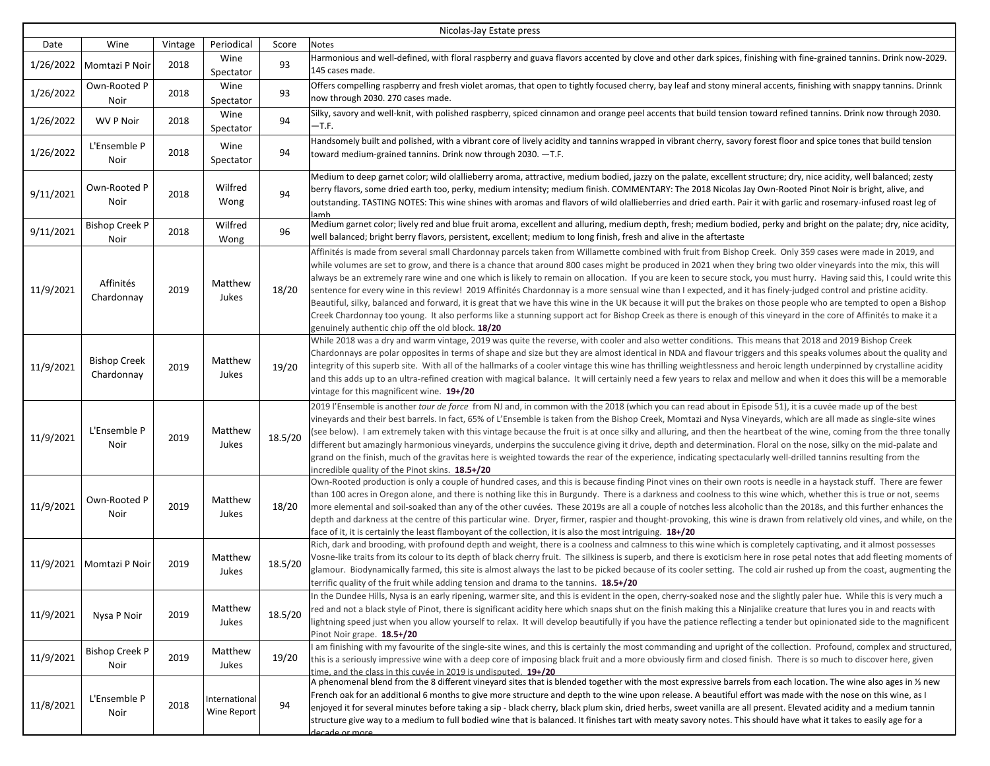| Nicolas-Jay Estate press |                                   |         |                              |         |                                                                                                                                                                                                                                                                                                                                                                                                                                                                                                                                                                                                                                                                                                                                                                                                                                                                                                                                                                                                                                                                                   |  |  |
|--------------------------|-----------------------------------|---------|------------------------------|---------|-----------------------------------------------------------------------------------------------------------------------------------------------------------------------------------------------------------------------------------------------------------------------------------------------------------------------------------------------------------------------------------------------------------------------------------------------------------------------------------------------------------------------------------------------------------------------------------------------------------------------------------------------------------------------------------------------------------------------------------------------------------------------------------------------------------------------------------------------------------------------------------------------------------------------------------------------------------------------------------------------------------------------------------------------------------------------------------|--|--|
| Date                     | Wine                              | Vintage | Periodical                   | Score   | Notes                                                                                                                                                                                                                                                                                                                                                                                                                                                                                                                                                                                                                                                                                                                                                                                                                                                                                                                                                                                                                                                                             |  |  |
| 1/26/2022                | Momtazi P Noir                    | 2018    | Wine<br>Spectator            | 93      | Harmonious and well-defined, with floral raspberry and guava flavors accented by clove and other dark spices, finishing with fine-grained tannins. Drink now-2029.<br>145 cases made.                                                                                                                                                                                                                                                                                                                                                                                                                                                                                                                                                                                                                                                                                                                                                                                                                                                                                             |  |  |
| 1/26/2022                | Own-Rooted P<br>Noir              | 2018    | Wine<br>Spectator            | 93      | Offers compelling raspberry and fresh violet aromas, that open to tightly focused cherry, bay leaf and stony mineral accents, finishing with snappy tannins. Drinnk<br>now through 2030. 270 cases made.                                                                                                                                                                                                                                                                                                                                                                                                                                                                                                                                                                                                                                                                                                                                                                                                                                                                          |  |  |
| 1/26/2022                | <b>WV P Noir</b>                  | 2018    | Wine<br>Spectator            | 94      | Silky, savory and well-knit, with polished raspberry, spiced cinnamon and orange peel accents that build tension toward refined tannins. Drink now through 2030.<br>-T.F.                                                                                                                                                                                                                                                                                                                                                                                                                                                                                                                                                                                                                                                                                                                                                                                                                                                                                                         |  |  |
| 1/26/2022                | L'Ensemble P<br>Noir              | 2018    | Wine<br>Spectator            | 94      | Handsomely built and polished, with a vibrant core of lively acidity and tannins wrapped in vibrant cherry, savory forest floor and spice tones that build tension<br>toward medium-grained tannins. Drink now through $2030$ . $-T.F.$                                                                                                                                                                                                                                                                                                                                                                                                                                                                                                                                                                                                                                                                                                                                                                                                                                           |  |  |
| 9/11/2021                | Own-Rooted P<br>Noir              | 2018    | Wilfred<br>Wong              | 94      | Medium to deep garnet color; wild olallieberry aroma, attractive, medium bodied, jazzy on the palate, excellent structure; dry, nice acidity, well balanced; zesty<br>berry flavors, some dried earth too, perky, medium intensity; medium finish. COMMENTARY: The 2018 Nicolas Jay Own-Rooted Pinot Noir is bright, alive, and<br>outstanding. TASTING NOTES: This wine shines with aromas and flavors of wild olallieberries and dried earth. Pair it with garlic and rosemary-infused roast leg of<br>lamb                                                                                                                                                                                                                                                                                                                                                                                                                                                                                                                                                                     |  |  |
| 9/11/2021                | <b>Bishop Creek P</b><br>Noir     | 2018    | Wilfred<br>Wong              | 96      | Medium garnet color; lively red and blue fruit aroma, excellent and alluring, medium depth, fresh; medium bodied, perky and bright on the palate; dry, nice acidity,<br>well balanced; bright berry flavors, persistent, excellent; medium to long finish, fresh and alive in the aftertaste                                                                                                                                                                                                                                                                                                                                                                                                                                                                                                                                                                                                                                                                                                                                                                                      |  |  |
| 11/9/2021                | Affinités<br>Chardonnay           | 2019    | Matthew<br>Jukes             | 18/20   | Affinités is made from several small Chardonnay parcels taken from Willamette combined with fruit from Bishop Creek. Only 359 cases were made in 2019, and<br>while volumes are set to grow, and there is a chance that around 800 cases might be produced in 2021 when they bring two older vineyards into the mix, this will<br>always be an extremely rare wine and one which is likely to remain on allocation. If you are keen to secure stock, you must hurry. Having said this, I could write this<br>sentence for every wine in this review! 2019 Affinités Chardonnay is a more sensual wine than I expected, and it has finely-judged control and pristine acidity.<br>Beautiful, silky, balanced and forward, it is great that we have this wine in the UK because it will put the brakes on those people who are tempted to open a Bishop<br>Creek Chardonnay too young. It also performs like a stunning support act for Bishop Creek as there is enough of this vineyard in the core of Affinités to make it a<br>genuinely authentic chip off the old block. 18/20 |  |  |
| 11/9/2021                | <b>Bishop Creek</b><br>Chardonnay | 2019    | Matthew<br>Jukes             | 19/20   | While 2018 was a dry and warm vintage, 2019 was quite the reverse, with cooler and also wetter conditions. This means that 2018 and 2019 Bishop Creek<br>Chardonnays are polar opposites in terms of shape and size but they are almost identical in NDA and flavour triggers and this speaks volumes about the quality and<br>integrity of this superb site. With all of the hallmarks of a cooler vintage this wine has thrilling weightlessness and heroic length underpinned by crystalline acidity<br>and this adds up to an ultra-refined creation with magical balance. It will certainly need a few years to relax and mellow and when it does this will be a memorable<br>vintage for this magnificent wine. 19+/20                                                                                                                                                                                                                                                                                                                                                      |  |  |
| 11/9/2021                | L'Ensemble P<br>Noir              | 2019    | Matthew<br>Jukes             | 18.5/20 | 2019 l'Ensemble is another tour de force from NJ and, in common with the 2018 (which you can read about in Episode 51), it is a cuvée made up of the best<br>vineyards and their best barrels. In fact, 65% of L'Ensemble is taken from the Bishop Creek, Momtazi and Nysa Vineyards, which are all made as single-site wines<br>(see below). I am extremely taken with this vintage because the fruit is at once silky and alluring, and then the heartbeat of the wine, coming from the three tonally<br>different but amazingly harmonious vineyards, underpins the succulence giving it drive, depth and determination. Floral on the nose, silky on the mid-palate and<br>grand on the finish, much of the gravitas here is weighted towards the rear of the experience, indicating spectacularly well-drilled tannins resulting from the<br>incredible quality of the Pinot skins. 18.5+/20                                                                                                                                                                                 |  |  |
| 11/9/2021                | Own-Rooted P<br>Noir              | 2019    | Matthew<br>Jukes             | 18/20   | Own-Rooted production is only a couple of hundred cases, and this is because finding Pinot vines on their own roots is needle in a haystack stuff. There are fewer<br>than 100 acres in Oregon alone, and there is nothing like this in Burgundy. There is a darkness and coolness to this wine which, whether this is true or not, seems<br>more elemental and soil-soaked than any of the other cuvées. These 2019s are all a couple of notches less alcoholic than the 2018s, and this further enhances the<br>depth and darkness at the centre of this particular wine. Dryer, firmer, raspier and thought-provoking, this wine is drawn from relatively old vines, and while, on the<br>face of it, it is certainly the least flamboyant of the collection, it is also the most intriguing. 18+/20                                                                                                                                                                                                                                                                           |  |  |
| 11/9/2021                | Momtazi P Noir                    | 2019    | Matthew<br>Jukes             | 18.5/20 | Rich, dark and brooding, with profound depth and weight, there is a coolness and calmness to this wine which is completely captivating, and it almost possesses<br>Vosne-like traits from its colour to its depth of black cherry fruit. The silkiness is superb, and there is exoticism here in rose petal notes that add fleeting moments of<br>glamour. Biodynamically farmed, this site is almost always the last to be picked because of its cooler setting. The cold air rushed up from the coast, augmenting the<br>terrific quality of the fruit while adding tension and drama to the tannins. 18.5+/20                                                                                                                                                                                                                                                                                                                                                                                                                                                                  |  |  |
| 11/9/2021                | Nysa P Noir                       | 2019    | Matthew<br>Jukes             | 18.5/20 | In the Dundee Hills, Nysa is an early ripening, warmer site, and this is evident in the open, cherry-soaked nose and the slightly paler hue. While this is very much a<br>red and not a black style of Pinot, there is significant acidity here which snaps shut on the finish making this a Ninjalike creature that lures you in and reacts with<br>lightning speed just when you allow yourself to relax. It will develop beautifully if you have the patience reflecting a tender but opinionated side to the magnificent<br>Pinot Noir grape. 18.5+/20                                                                                                                                                                                                                                                                                                                                                                                                                                                                                                                        |  |  |
| 11/9/2021                | <b>Bishop Creek P</b><br>Noir     | 2019    | Matthew<br>Jukes             | 19/20   | I am finishing with my favourite of the single-site wines, and this is certainly the most commanding and upright of the collection. Profound, complex and structured,<br>this is a seriously impressive wine with a deep core of imposing black fruit and a more obviously firm and closed finish. There is so much to discover here, given<br>time, and the class in this cuvée in 2019 is undisputed. 19+/20                                                                                                                                                                                                                                                                                                                                                                                                                                                                                                                                                                                                                                                                    |  |  |
| 11/8/2021                | L'Ensemble P<br>Noir              | 2018    | International<br>Wine Report | 94      | A phenomenal blend from the 8 different vineyard sites that is blended together with the most expressive barrels from each location. The wine also ages in 1/3 new<br>French oak for an additional 6 months to give more structure and depth to the wine upon release. A beautiful effort was made with the nose on this wine, as I<br>enjoyed it for several minutes before taking a sip - black cherry, black plum skin, dried herbs, sweet vanilla are all present. Elevated acidity and a medium tannin<br>structure give way to a medium to full bodied wine that is balanced. It finishes tart with meaty savory notes. This should have what it takes to easily age for a<br>decade or more                                                                                                                                                                                                                                                                                                                                                                                |  |  |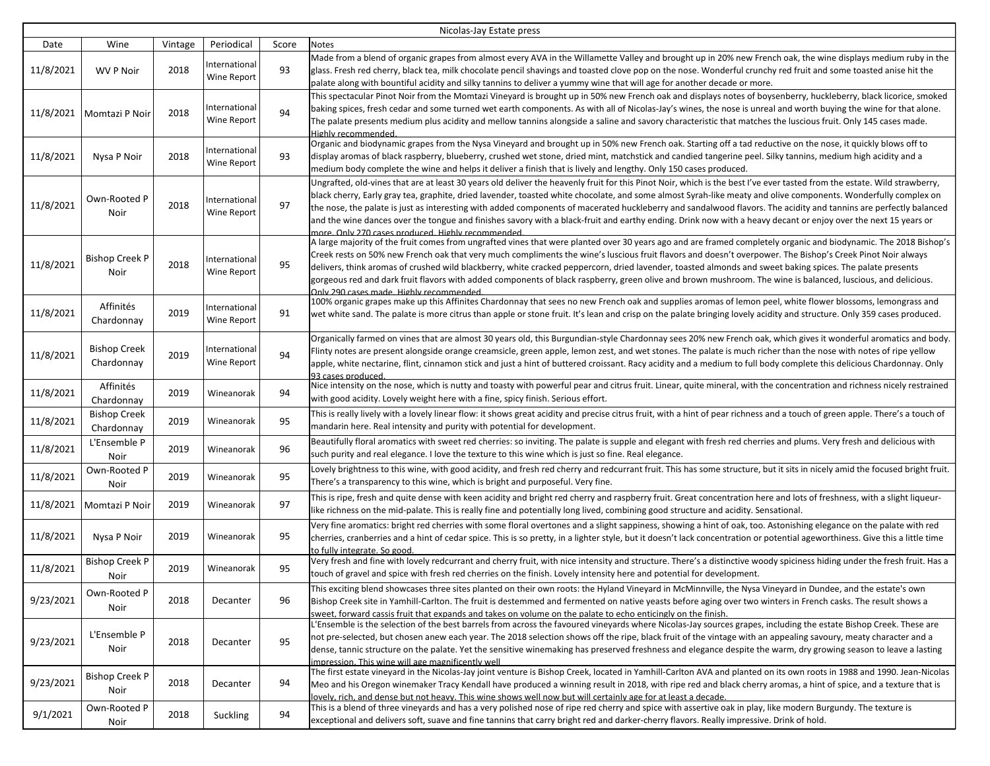| Nicolas-Jay Estate press |                                   |         |                              |       |                                                                                                                                                                                                                                                                                                                                                                                                                                                                                                                                                                                                                                                                                                                                        |  |
|--------------------------|-----------------------------------|---------|------------------------------|-------|----------------------------------------------------------------------------------------------------------------------------------------------------------------------------------------------------------------------------------------------------------------------------------------------------------------------------------------------------------------------------------------------------------------------------------------------------------------------------------------------------------------------------------------------------------------------------------------------------------------------------------------------------------------------------------------------------------------------------------------|--|
| Date                     | Wine                              | Vintage | Periodical                   | Score | Notes                                                                                                                                                                                                                                                                                                                                                                                                                                                                                                                                                                                                                                                                                                                                  |  |
| 11/8/2021                | <b>WV P Noir</b>                  | 2018    | International<br>Wine Report | 93    | Made from a blend of organic grapes from almost every AVA in the Willamette Valley and brought up in 20% new French oak, the wine displays medium ruby in the<br>glass. Fresh red cherry, black tea, milk chocolate pencil shavings and toasted clove pop on the nose. Wonderful crunchy red fruit and some toasted anise hit the<br>palate along with bountiful acidity and silky tannins to deliver a yummy wine that will age for another decade or more.                                                                                                                                                                                                                                                                           |  |
| 11/8/2021                | Momtazi P Noir                    | 2018    | International<br>Wine Report | 94    | This spectacular Pinot Noir from the Momtazi Vineyard is brought up in 50% new French oak and displays notes of boysenberry, huckleberry, black licorice, smoked<br>baking spices, fresh cedar and some turned wet earth components. As with all of Nicolas-Jay's wines, the nose is unreal and worth buying the wine for that alone.<br>The palate presents medium plus acidity and mellow tannins alongside a saline and savory characteristic that matches the luscious fruit. Only 145 cases made.<br>Highly recommended.                                                                                                                                                                                                          |  |
| 11/8/2021                | Nysa P Noir                       | 2018    | International<br>Wine Report | 93    | Organic and biodynamic grapes from the Nysa Vineyard and brought up in 50% new French oak. Starting off a tad reductive on the nose, it quickly blows off to<br>display aromas of black raspberry, blueberry, crushed wet stone, dried mint, matchstick and candied tangerine peel. Silky tannins, medium high acidity and a<br>medium body complete the wine and helps it deliver a finish that is lively and lengthy. Only 150 cases produced.                                                                                                                                                                                                                                                                                       |  |
| 11/8/2021                | Own-Rooted P<br>Noir              | 2018    | International<br>Wine Report | 97    | Ungrafted, old-vines that are at least 30 years old deliver the heavenly fruit for this Pinot Noir, which is the best I've ever tasted from the estate. Wild strawberry,<br>black cherry, Early gray tea, graphite, dried lavender, toasted white chocolate, and some almost Syrah-like meaty and olive components. Wonderfully complex on<br>the nose, the palate is just as interesting with added components of macerated huckleberry and sandalwood flavors. The acidity and tannins are perfectly balanced<br>and the wine dances over the tongue and finishes savory with a black-fruit and earthy ending. Drink now with a heavy decant or enjoy over the next 15 years or<br>more. Only 270 cases produced. Highly recommended |  |
| 11/8/2021                | Bishop Creek P<br>Noir            | 2018    | International<br>Wine Report | 95    | A large majority of the fruit comes from ungrafted vines that were planted over 30 years ago and are framed completely organic and biodynamic. The 2018 Bishop's<br>Creek rests on 50% new French oak that very much compliments the wine's luscious fruit flavors and doesn't overpower. The Bishop's Creek Pinot Noir always<br>delivers, think aromas of crushed wild blackberry, white cracked peppercorn, dried lavender, toasted almonds and sweet baking spices. The palate presents<br>gorgeous red and dark fruit flavors with added components of black raspberry, green olive and brown mushroom. The wine is balanced, luscious, and delicious.<br>Only 290 cases made. Highly recommended.                                |  |
| 11/8/2021                | Affinités<br>Chardonnay           | 2019    | International<br>Wine Report | 91    | 100% organic grapes make up this Affinites Chardonnay that sees no new French oak and supplies aromas of lemon peel, white flower blossoms, lemongrass and<br>wet white sand. The palate is more citrus than apple or stone fruit. It's lean and crisp on the palate bringing lovely acidity and structure. Only 359 cases produced.                                                                                                                                                                                                                                                                                                                                                                                                   |  |
| 11/8/2021                | <b>Bishop Creek</b><br>Chardonnay | 2019    | International<br>Wine Report | 94    | Organically farmed on vines that are almost 30 years old, this Burgundian-style Chardonnay sees 20% new French oak, which gives it wonderful aromatics and body.<br>Flinty notes are present alongside orange creamsicle, green apple, lemon zest, and wet stones. The palate is much richer than the nose with notes of ripe yellow<br>apple, white nectarine, flint, cinnamon stick and just a hint of buttered croissant. Racy acidity and a medium to full body complete this delicious Chardonnay. Only<br>93 cases produced.                                                                                                                                                                                                     |  |
| 11/8/2021                | Affinités<br>Chardonnay           | 2019    | Wineanorak                   | 94    | Nice intensity on the nose, which is nutty and toasty with powerful pear and citrus fruit. Linear, quite mineral, with the concentration and richness nicely restrained<br>with good acidity. Lovely weight here with a fine, spicy finish. Serious effort.                                                                                                                                                                                                                                                                                                                                                                                                                                                                            |  |
| 11/8/2021                | <b>Bishop Creek</b><br>Chardonnay | 2019    | Wineanorak                   | 95    | This is really lively with a lovely linear flow: it shows great acidity and precise citrus fruit, with a hint of pear richness and a touch of green apple. There's a touch of<br>mandarin here. Real intensity and purity with potential for development.                                                                                                                                                                                                                                                                                                                                                                                                                                                                              |  |
| 11/8/2021                | L'Ensemble P<br>Noir              | 2019    | Wineanorak                   | 96    | Beautifully floral aromatics with sweet red cherries: so inviting. The palate is supple and elegant with fresh red cherries and plums. Very fresh and delicious with<br>such purity and real elegance. I love the texture to this wine which is just so fine. Real elegance.                                                                                                                                                                                                                                                                                                                                                                                                                                                           |  |
| 11/8/2021                | Own-Rooted P<br>Noir              | 2019    | Wineanorak                   | 95    | Lovely brightness to this wine, with good acidity, and fresh red cherry and redcurrant fruit. This has some structure, but it sits in nicely amid the focused bright fruit.<br>There's a transparency to this wine, which is bright and purposeful. Very fine.                                                                                                                                                                                                                                                                                                                                                                                                                                                                         |  |
| 11/8/2021                | Momtazi P Noir                    | 2019    | Wineanorak                   | 97    | This is ripe, fresh and quite dense with keen acidity and bright red cherry and raspberry fruit. Great concentration here and lots of freshness, with a slight liqueur-<br>like richness on the mid-palate. This is really fine and potentially long lived, combining good structure and acidity. Sensational.                                                                                                                                                                                                                                                                                                                                                                                                                         |  |
| 11/8/2021                | Nysa P Noir                       | 2019    | Wineanorak                   | 95    | Very fine aromatics: bright red cherries with some floral overtones and a slight sappiness, showing a hint of oak, too. Astonishing elegance on the palate with red<br>cherries, cranberries and a hint of cedar spice. This is so pretty, in a lighter style, but it doesn't lack concentration or potential ageworthiness. Give this a little time<br>to fully integrate. So good                                                                                                                                                                                                                                                                                                                                                    |  |
| 11/8/2021                | <b>Bishop Creek P</b><br>Noir     | 2019    | Wineanorak                   | 95    | Very fresh and fine with lovely redcurrant and cherry fruit, with nice intensity and structure. There's a distinctive woody spiciness hiding under the fresh fruit. Has a<br>touch of gravel and spice with fresh red cherries on the finish. Lovely intensity here and potential for development.                                                                                                                                                                                                                                                                                                                                                                                                                                     |  |
| 9/23/2021                | Own-Rooted P<br>Noir              | 2018    | Decanter                     | 96    | This exciting blend showcases three sites planted on their own roots: the Hyland Vineyard in McMinnville, the Nysa Vineyard in Dundee, and the estate's own<br>Bishop Creek site in Yamhill-Carlton. The fruit is destemmed and fermented on native yeasts before aging over two winters in French casks. The result shows a<br>sweet, forward cassis fruit that expands and takes on volume on the palate to echo enticingly on the finish.                                                                                                                                                                                                                                                                                           |  |
| 9/23/2021                | L'Ensemble P<br>Noir              | 2018    | Decanter                     | 95    | L'Ensemble is the selection of the best barrels from across the favoured vineyards where Nicolas-Jay sources grapes, including the estate Bishop Creek. These are<br>not pre-selected, but chosen anew each year. The 2018 selection shows off the ripe, black fruit of the vintage with an appealing savoury, meaty character and a<br>dense, tannic structure on the palate. Yet the sensitive winemaking has preserved freshness and elegance despite the warm, dry growing season to leave a lasting<br>impression. This wine will age magnificently well                                                                                                                                                                          |  |
| 9/23/2021                | Bishop Creek P<br>Noir            | 2018    | Decanter                     | 94    | The first estate vineyard in the Nicolas-Jay joint venture is Bishop Creek, located in Yamhill-Carlton AVA and planted on its own roots in 1988 and 1990. Jean-Nicolas<br>Meo and his Oregon winemaker Tracy Kendall have produced a winning result in 2018, with ripe red and black cherry aromas, a hint of spice, and a texture that is<br>lovely, rich, and dense but not heavy. This wine shows well now but will certainly age for at least a decade.                                                                                                                                                                                                                                                                            |  |
| 9/1/2021                 | Own-Rooted P<br>Noir              | 2018    | Suckling                     | 94    | This is a blend of three vineyards and has a very polished nose of ripe red cherry and spice with assertive oak in play, like modern Burgundy. The texture is<br>exceptional and delivers soft, suave and fine tannins that carry bright red and darker-cherry flavors. Really impressive. Drink of hold.                                                                                                                                                                                                                                                                                                                                                                                                                              |  |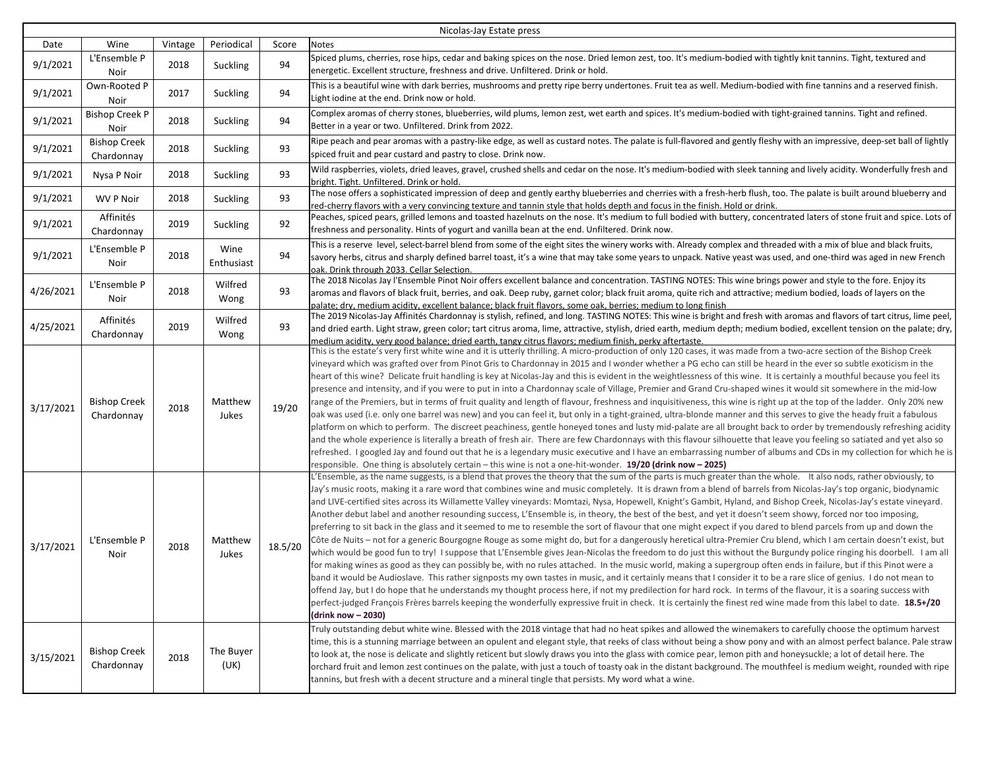| Nicolas-Jay Estate press |                                   |         |                    |         |                                                                                                                                                                                                                                                                                                                                                                                                                                                                                                                                                                                                                                                                                                                                                                                                                                                                                                                                                                                                                                                                                                                                                                                                                                                                                                                                                                                                                                                                                                                                                                                                                                                                                                                                                                                                                                                                                                                                                                                                                                                                             |  |  |
|--------------------------|-----------------------------------|---------|--------------------|---------|-----------------------------------------------------------------------------------------------------------------------------------------------------------------------------------------------------------------------------------------------------------------------------------------------------------------------------------------------------------------------------------------------------------------------------------------------------------------------------------------------------------------------------------------------------------------------------------------------------------------------------------------------------------------------------------------------------------------------------------------------------------------------------------------------------------------------------------------------------------------------------------------------------------------------------------------------------------------------------------------------------------------------------------------------------------------------------------------------------------------------------------------------------------------------------------------------------------------------------------------------------------------------------------------------------------------------------------------------------------------------------------------------------------------------------------------------------------------------------------------------------------------------------------------------------------------------------------------------------------------------------------------------------------------------------------------------------------------------------------------------------------------------------------------------------------------------------------------------------------------------------------------------------------------------------------------------------------------------------------------------------------------------------------------------------------------------------|--|--|
| Date                     | Wine                              | Vintage | Periodical         | Score   | Notes                                                                                                                                                                                                                                                                                                                                                                                                                                                                                                                                                                                                                                                                                                                                                                                                                                                                                                                                                                                                                                                                                                                                                                                                                                                                                                                                                                                                                                                                                                                                                                                                                                                                                                                                                                                                                                                                                                                                                                                                                                                                       |  |  |
| 9/1/2021                 | L'Ensemble P<br>Noir              | 2018    | Suckling           | 94      | Spiced plums, cherries, rose hips, cedar and baking spices on the nose. Dried lemon zest, too. It's medium-bodied with tightly knit tannins. Tight, textured and<br>energetic. Excellent structure, freshness and drive. Unfiltered. Drink or hold.                                                                                                                                                                                                                                                                                                                                                                                                                                                                                                                                                                                                                                                                                                                                                                                                                                                                                                                                                                                                                                                                                                                                                                                                                                                                                                                                                                                                                                                                                                                                                                                                                                                                                                                                                                                                                         |  |  |
| 9/1/2021                 | Own-Rooted P<br>Noir              | 2017    | Suckling           | 94      | This is a beautiful wine with dark berries, mushrooms and pretty ripe berry undertones. Fruit tea as well. Medium-bodied with fine tannins and a reserved finish.<br>Light iodine at the end. Drink now or hold.                                                                                                                                                                                                                                                                                                                                                                                                                                                                                                                                                                                                                                                                                                                                                                                                                                                                                                                                                                                                                                                                                                                                                                                                                                                                                                                                                                                                                                                                                                                                                                                                                                                                                                                                                                                                                                                            |  |  |
| 9/1/2021                 | <b>Bishop Creek P</b><br>Noir     | 2018    | Suckling           | 94      | Complex aromas of cherry stones, blueberries, wild plums, lemon zest, wet earth and spices. It's medium-bodied with tight-grained tannins. Tight and refined.<br>Better in a year or two. Unfiltered. Drink from 2022.                                                                                                                                                                                                                                                                                                                                                                                                                                                                                                                                                                                                                                                                                                                                                                                                                                                                                                                                                                                                                                                                                                                                                                                                                                                                                                                                                                                                                                                                                                                                                                                                                                                                                                                                                                                                                                                      |  |  |
| 9/1/2021                 | <b>Bishop Creek</b><br>Chardonnay | 2018    | Suckling           | 93      | Ripe peach and pear aromas with a pastry-like edge, as well as custard notes. The palate is full-flavored and gently fleshy with an impressive, deep-set ball of lightly<br>spiced fruit and pear custard and pastry to close. Drink now.                                                                                                                                                                                                                                                                                                                                                                                                                                                                                                                                                                                                                                                                                                                                                                                                                                                                                                                                                                                                                                                                                                                                                                                                                                                                                                                                                                                                                                                                                                                                                                                                                                                                                                                                                                                                                                   |  |  |
| 9/1/2021                 | Nysa P Noir                       | 2018    | Suckling           | 93      | Wild raspberries, violets, dried leaves, gravel, crushed shells and cedar on the nose. It's medium-bodied with sleek tanning and lively acidity. Wonderfully fresh and<br>bright. Tight. Unfiltered. Drink or hold.                                                                                                                                                                                                                                                                                                                                                                                                                                                                                                                                                                                                                                                                                                                                                                                                                                                                                                                                                                                                                                                                                                                                                                                                                                                                                                                                                                                                                                                                                                                                                                                                                                                                                                                                                                                                                                                         |  |  |
| 9/1/2021                 | <b>WV P Noir</b>                  | 2018    | Suckling           | 93      | The nose offers a sophisticated impression of deep and gently earthy blueberries and cherries with a fresh-herb flush, too. The palate is built around blueberry and<br>red-cherry flavors with a very convincing texture and tannin style that holds depth and focus in the finish. Hold or drink.                                                                                                                                                                                                                                                                                                                                                                                                                                                                                                                                                                                                                                                                                                                                                                                                                                                                                                                                                                                                                                                                                                                                                                                                                                                                                                                                                                                                                                                                                                                                                                                                                                                                                                                                                                         |  |  |
| 9/1/2021                 | Affinités<br>Chardonnay           | 2019    | Suckling           | 92      | Peaches, spiced pears, grilled lemons and toasted hazelnuts on the nose. It's medium to full bodied with buttery, concentrated laters of stone fruit and spice. Lots of<br>freshness and personality. Hints of yogurt and vanilla bean at the end. Unfiltered. Drink now.                                                                                                                                                                                                                                                                                                                                                                                                                                                                                                                                                                                                                                                                                                                                                                                                                                                                                                                                                                                                                                                                                                                                                                                                                                                                                                                                                                                                                                                                                                                                                                                                                                                                                                                                                                                                   |  |  |
| 9/1/2021                 | L'Ensemble P<br>Noir              | 2018    | Wine<br>Enthusiast | 94      | This is a reserve level, select-barrel blend from some of the eight sites the winery works with. Already complex and threaded with a mix of blue and black fruits,<br>savory herbs, citrus and sharply defined barrel toast, it's a wine that may take some years to unpack. Native yeast was used, and one-third was aged in new French<br>oak. Drink through 2033. Cellar Selection.                                                                                                                                                                                                                                                                                                                                                                                                                                                                                                                                                                                                                                                                                                                                                                                                                                                                                                                                                                                                                                                                                                                                                                                                                                                                                                                                                                                                                                                                                                                                                                                                                                                                                      |  |  |
| 4/26/2021                | L'Ensemble P<br>Noir              | 2018    | Wilfred<br>Wong    | 93      | The 2018 Nicolas Jay l'Ensemble Pinot Noir offers excellent balance and concentration. TASTING NOTES: This wine brings power and style to the fore. Enjoy its<br>aromas and flavors of black fruit, berries, and oak. Deep ruby, garnet color; black fruit aroma, quite rich and attractive; medium bodied, loads of layers on the                                                                                                                                                                                                                                                                                                                                                                                                                                                                                                                                                                                                                                                                                                                                                                                                                                                                                                                                                                                                                                                                                                                                                                                                                                                                                                                                                                                                                                                                                                                                                                                                                                                                                                                                          |  |  |
| 4/25/2021                | Affinités<br>Chardonnay           | 2019    | Wilfred<br>Wong    | 93      | palate; dry, medium acidity, excellent balance; black fruit flavors, some oak, berries; medium to long finish<br>The 2019 Nicolas-Jay Affinités Chardonnay is stylish, refined, and long. TASTING NOTES: This wine is bright and fresh with aromas and flavors of tart citrus, lime peel<br>and dried earth. Light straw, green color; tart citrus aroma, lime, attractive, stylish, dried earth, medium depth; medium bodied, excellent tension on the palate; dry,                                                                                                                                                                                                                                                                                                                                                                                                                                                                                                                                                                                                                                                                                                                                                                                                                                                                                                                                                                                                                                                                                                                                                                                                                                                                                                                                                                                                                                                                                                                                                                                                        |  |  |
| 3/17/2021                | <b>Bishop Creek</b><br>Chardonnay | 2018    | Matthew<br>Jukes   | 19/20   | medium acidity, very good balance: dried earth, tangy citrus flavors: medium finish, perky aftertaste.<br>This is the estate's very first white wine and it is utterly thrilling. A micro-production of only 120 cases, it was made from a two-acre section of the Bishop Creek<br>vineyard which was grafted over from Pinot Gris to Chardonnay in 2015 and I wonder whether a PG echo can still be heard in the ever so subtle exoticism in the<br>heart of this wine? Delicate fruit handling is key at Nicolas-Jay and this is evident in the weightlessness of this wine. It is certainly a mouthful because you feel its<br>presence and intensity, and if you were to put in into a Chardonnay scale of Village, Premier and Grand Cru-shaped wines it would sit somewhere in the mid-low<br>range of the Premiers, but in terms of fruit quality and length of flavour, freshness and inquisitiveness, this wine is right up at the top of the ladder. Only 20% new<br>oak was used (i.e. only one barrel was new) and you can feel it, but only in a tight-grained, ultra-blonde manner and this serves to give the heady fruit a fabulous<br>platform on which to perform. The discreet peachiness, gentle honeyed tones and lusty mid-palate are all brought back to order by tremendously refreshing acidity<br>and the whole experience is literally a breath of fresh air. There are few Chardonnays with this flavour silhouette that leave you feeling so satiated and yet also so<br>refreshed. I googled Jay and found out that he is a legendary music executive and I have an embarrassing number of albums and CDs in my collection for which he is<br>responsible. One thing is absolutely certain - this wine is not a one-hit-wonder. 19/20 (drink now - 2025)                                                                                                                                                                                                                                                                                      |  |  |
| 3/17/2021                | L'Ensemble P<br>Noir              | 2018    | Matthew<br>Jukes   | 18.5/20 | L'Ensemble, as the name suggests, is a blend that proves the theory that the sum of the parts is much greater than the whole. It also nods, rather obviously, to<br>Jay's music roots, making it a rare word that combines wine and music completely. It is drawn from a blend of barrels from Nicolas-Jay's top organic, biodynamic<br>and LIVE-certified sites across its Willamette Valley vineyards: Momtazi, Nysa, Hopewell, Knight's Gambit, Hyland, and Bishop Creek, Nicolas-Jay's estate vineyard.<br>Another debut label and another resounding success, L'Ensemble is, in theory, the best of the best, and yet it doesn't seem showy, forced nor too imposing,<br>preferring to sit back in the glass and it seemed to me to resemble the sort of flavour that one might expect if you dared to blend parcels from up and down the<br>Côte de Nuits – not for a generic Bourgogne Rouge as some might do, but for a dangerously heretical ultra-Premier Cru blend, which I am certain doesn't exist, but<br>which would be good fun to try! I suppose that L'Ensemble gives Jean-Nicolas the freedom to do just this without the Burgundy police ringing his doorbell. I am all<br>for making wines as good as they can possibly be, with no rules attached. In the music world, making a supergroup often ends in failure, but if this Pinot were a<br>band it would be Audioslave. This rather signposts my own tastes in music, and it certainly means that I consider it to be a rare slice of genius. I do not mean to<br>offend Jay, but I do hope that he understands my thought process here, if not my predilection for hard rock. In terms of the flavour, it is a soaring success with<br>perfect-judged Francois Frères barrels keeping the wonderfully expressive fruit in check. It is certainly the finest red wine made from this label to date. 18.5+/20<br>(drink now - 2030)<br>Truly outstanding debut white wine. Blessed with the 2018 vintage that had no heat spikes and allowed the winemakers to carefully choose the optimum harvest |  |  |
| 3/15/2021                | <b>Bishop Creek</b><br>Chardonnay | 2018    | The Buyer<br>(UK)  |         | time, this is a stunning marriage between an opulent and elegant style, that reeks of class without being a show pony and with an almost perfect balance. Pale straw<br>to look at, the nose is delicate and slightly reticent but slowly draws you into the glass with comice pear, lemon pith and honeysuckle; a lot of detail here. The<br>orchard fruit and lemon zest continues on the palate, with just a touch of toasty oak in the distant background. The mouthfeel is medium weight, rounded with ripe<br>tannins, but fresh with a decent structure and a mineral tingle that persists. My word what a wine.                                                                                                                                                                                                                                                                                                                                                                                                                                                                                                                                                                                                                                                                                                                                                                                                                                                                                                                                                                                                                                                                                                                                                                                                                                                                                                                                                                                                                                                     |  |  |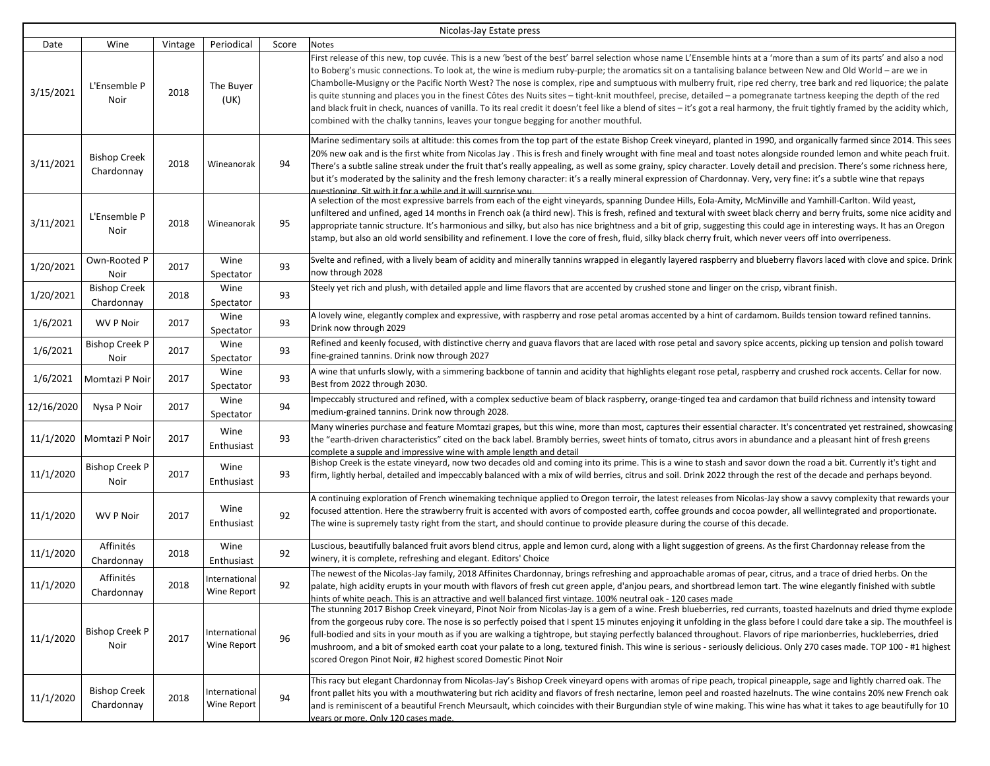| Nicolas-Jay Estate press |                                   |         |                              |       |                                                                                                                                                                                                                                                                                                                                                                                                                                                                                                                                                                                                                                                                                                                                                                                                                                                                                                                                                               |  |  |
|--------------------------|-----------------------------------|---------|------------------------------|-------|---------------------------------------------------------------------------------------------------------------------------------------------------------------------------------------------------------------------------------------------------------------------------------------------------------------------------------------------------------------------------------------------------------------------------------------------------------------------------------------------------------------------------------------------------------------------------------------------------------------------------------------------------------------------------------------------------------------------------------------------------------------------------------------------------------------------------------------------------------------------------------------------------------------------------------------------------------------|--|--|
| Date                     | Wine                              | Vintage | Periodical                   | Score | <b>Notes</b>                                                                                                                                                                                                                                                                                                                                                                                                                                                                                                                                                                                                                                                                                                                                                                                                                                                                                                                                                  |  |  |
| 3/15/2021                | L'Ensemble P<br>Noir              | 2018    | The Buyer<br>(UK)            |       | First release of this new, top cuvée. This is a new 'best of the best' barrel selection whose name L'Ensemble hints at a 'more than a sum of its parts' and also a nod<br>to Boberg's music connections. To look at, the wine is medium ruby-purple; the aromatics sit on a tantalising balance between New and Old World – are we in<br>Chambolle-Musigny or the Pacific North West? The nose is complex, ripe and sumptuous with mulberry fruit, ripe red cherry, tree bark and red liquorice; the palate<br>is quite stunning and places you in the finest Côtes des Nuits sites - tight-knit mouthfeel, precise, detailed - a pomegranate tartness keeping the depth of the red<br>and black fruit in check, nuances of vanilla. To its real credit it doesn't feel like a blend of sites – it's got a real harmony, the fruit tightly framed by the acidity which,<br>combined with the chalky tannins, leaves your tongue begging for another mouthful. |  |  |
| 3/11/2021                | <b>Bishop Creek</b><br>Chardonnay | 2018    | Wineanorak                   | 94    | Marine sedimentary soils at altitude: this comes from the top part of the estate Bishop Creek vineyard, planted in 1990, and organically farmed since 2014. This sees<br>20% new oak and is the first white from Nicolas Jay . This is fresh and finely wrought with fine meal and toast notes alongside rounded lemon and white peach fruit.<br>There's a subtle saline streak under the fruit that's really appealing, as well as some grainy, spicy character. Lovely detail and precision. There's some richness here,<br>but it's moderated by the salinity and the fresh lemony character: it's a really mineral expression of Chardonnay. Very, very fine: it's a subtle wine that repays<br>questioning Sit with it for a while and it will surprise you.                                                                                                                                                                                             |  |  |
| 3/11/2021                | L'Ensemble P<br>Noir              | 2018    | Wineanorak                   | 95    | A selection of the most expressive barrels from each of the eight vineyards, spanning Dundee Hills, Eola-Amity, McMinville and Yamhill-Carlton. Wild yeast,<br>unfiltered and unfined, aged 14 months in French oak (a third new). This is fresh, refined and textural with sweet black cherry and berry fruits, some nice acidity and<br>appropriate tannic structure. It's harmonious and silky, but also has nice brightness and a bit of grip, suggesting this could age in interesting ways. It has an Oregon<br>stamp, but also an old world sensibility and refinement. I love the core of fresh, fluid, silky black cherry fruit, which never veers off into overripeness.                                                                                                                                                                                                                                                                            |  |  |
| 1/20/2021                | Own-Rooted P<br>Noir              | 2017    | Wine<br>Spectator            | 93    | Svelte and refined, with a lively beam of acidity and minerally tannins wrapped in elegantly layered raspberry and blueberry flavors laced with clove and spice. Drink<br>now through 2028                                                                                                                                                                                                                                                                                                                                                                                                                                                                                                                                                                                                                                                                                                                                                                    |  |  |
| 1/20/2021                | <b>Bishop Creek</b><br>Chardonnay | 2018    | Wine<br>Spectator            | 93    | Steely yet rich and plush, with detailed apple and lime flavors that are accented by crushed stone and linger on the crisp, vibrant finish.                                                                                                                                                                                                                                                                                                                                                                                                                                                                                                                                                                                                                                                                                                                                                                                                                   |  |  |
| 1/6/2021                 | <b>WV P Noir</b>                  | 2017    | Wine<br>Spectator            | 93    | A lovely wine, elegantly complex and expressive, with raspberry and rose petal aromas accented by a hint of cardamom. Builds tension toward refined tannins.<br>Drink now through 2029                                                                                                                                                                                                                                                                                                                                                                                                                                                                                                                                                                                                                                                                                                                                                                        |  |  |
| 1/6/2021                 | <b>Bishop Creek P</b><br>Noir     | 2017    | Wine<br>Spectator            | 93    | Refined and keenly focused, with distinctive cherry and guava flavors that are laced with rose petal and savory spice accents, picking up tension and polish toward<br>fine-grained tannins. Drink now through 2027                                                                                                                                                                                                                                                                                                                                                                                                                                                                                                                                                                                                                                                                                                                                           |  |  |
| 1/6/2021                 | Momtazi P Noir                    | 2017    | Wine<br>Spectator            | 93    | A wine that unfurls slowly, with a simmering backbone of tannin and acidity that highlights elegant rose petal, raspberry and crushed rock accents. Cellar for now.<br>Best from 2022 through 2030.                                                                                                                                                                                                                                                                                                                                                                                                                                                                                                                                                                                                                                                                                                                                                           |  |  |
| 12/16/2020               | Nysa P Noir                       | 2017    | Wine<br>Spectator            | 94    | Impeccably structured and refined, with a complex seductive beam of black raspberry, orange-tinged tea and cardamon that build richness and intensity toward<br>medium-grained tannins. Drink now through 2028.                                                                                                                                                                                                                                                                                                                                                                                                                                                                                                                                                                                                                                                                                                                                               |  |  |
| 11/1/2020                | Momtazi P Noir                    | 2017    | Wine<br>Enthusiast           | 93    | Many wineries purchase and feature Momtazi grapes, but this wine, more than most, captures their essential character. It's concentrated yet restrained, showcasing<br>the "earth-driven characteristics" cited on the back label. Brambly berries, sweet hints of tomato, citrus avors in abundance and a pleasant hint of fresh greens<br>complete a supple and impressive wine with ample length and detail                                                                                                                                                                                                                                                                                                                                                                                                                                                                                                                                                 |  |  |
| 11/1/2020                | <b>Bishop Creek P</b><br>Noir     | 2017    | Wine<br>Enthusiast           | 93    | Bishop Creek is the estate vineyard, now two decades old and coming into its prime. This is a wine to stash and savor down the road a bit. Currently it's tight and<br>firm, lightly herbal, detailed and impeccably balanced with a mix of wild berries, citrus and soil. Drink 2022 through the rest of the decade and perhaps beyond.                                                                                                                                                                                                                                                                                                                                                                                                                                                                                                                                                                                                                      |  |  |
| 11/1/2020                | WV P Noir                         | 2017    | Wine<br>Enthusiast           | 92    | A continuing exploration of French winemaking technique applied to Oregon terroir, the latest releases from Nicolas-Jay show a savvy complexity that rewards your<br>focused attention. Here the strawberry fruit is accented with avors of composted earth, coffee grounds and cocoa powder, all wellintegrated and proportionate.<br>The wine is supremely tasty right from the start, and should continue to provide pleasure during the course of this decade.                                                                                                                                                                                                                                                                                                                                                                                                                                                                                            |  |  |
| 11/1/2020                | Affinités<br>Chardonnay           | 2018    | Wine<br>Enthusiast           | 92    | Luscious, beautifully balanced fruit avors blend citrus, apple and lemon curd, along with a light suggestion of greens. As the first Chardonnay release from the<br>winery, it is complete, refreshing and elegant. Editors' Choice                                                                                                                                                                                                                                                                                                                                                                                                                                                                                                                                                                                                                                                                                                                           |  |  |
| 11/1/2020                | Affinités<br>Chardonnay           | 2018    | International<br>Wine Report | 92    | The newest of the Nicolas-Jay family, 2018 Affinites Chardonnay, brings refreshing and approachable aromas of pear, citrus, and a trace of dried herbs. On the<br>palate, high acidity erupts in your mouth with flavors of fresh cut green apple, d'anjou pears, and shortbread lemon tart. The wine elegantly finished with subtle<br>hints of white peach. This is an attractive and well balanced first vintage. 100% neutral oak - 120 cases made                                                                                                                                                                                                                                                                                                                                                                                                                                                                                                        |  |  |
| 11/1/2020                | <b>Bishop Creek P</b><br>Noir     | 2017    | International<br>Wine Report | 96    | The stunning 2017 Bishop Creek vineyard, Pinot Noir from Nicolas-Jay is a gem of a wine. Fresh blueberries, red currants, toasted hazelnuts and dried thyme explode<br>from the gorgeous ruby core. The nose is so perfectly poised that I spent 15 minutes enjoying it unfolding in the glass before I could dare take a sip. The mouthfeel is<br>full-bodied and sits in your mouth as if you are walking a tightrope, but staying perfectly balanced throughout. Flavors of ripe marionberries, huckleberries, dried<br>mushroom, and a bit of smoked earth coat your palate to a long, textured finish. This wine is serious - seriously delicious. Only 270 cases made. TOP 100 - #1 highest<br>scored Oregon Pinot Noir, #2 highest scored Domestic Pinot Noir                                                                                                                                                                                          |  |  |
| 11/1/2020                | <b>Bishop Creek</b><br>Chardonnay | 2018    | International<br>Wine Report | 94    | This racy but elegant Chardonnay from Nicolas-Jay's Bishop Creek vineyard opens with aromas of ripe peach, tropical pineapple, sage and lightly charred oak. The<br>front pallet hits you with a mouthwatering but rich acidity and flavors of fresh nectarine, lemon peel and roasted hazelnuts. The wine contains 20% new French oak<br>and is reminiscent of a beautiful French Meursault, which coincides with their Burgundian style of wine making. This wine has what it takes to age beautifully for 10<br>vears or more. Only 120 cases made.                                                                                                                                                                                                                                                                                                                                                                                                        |  |  |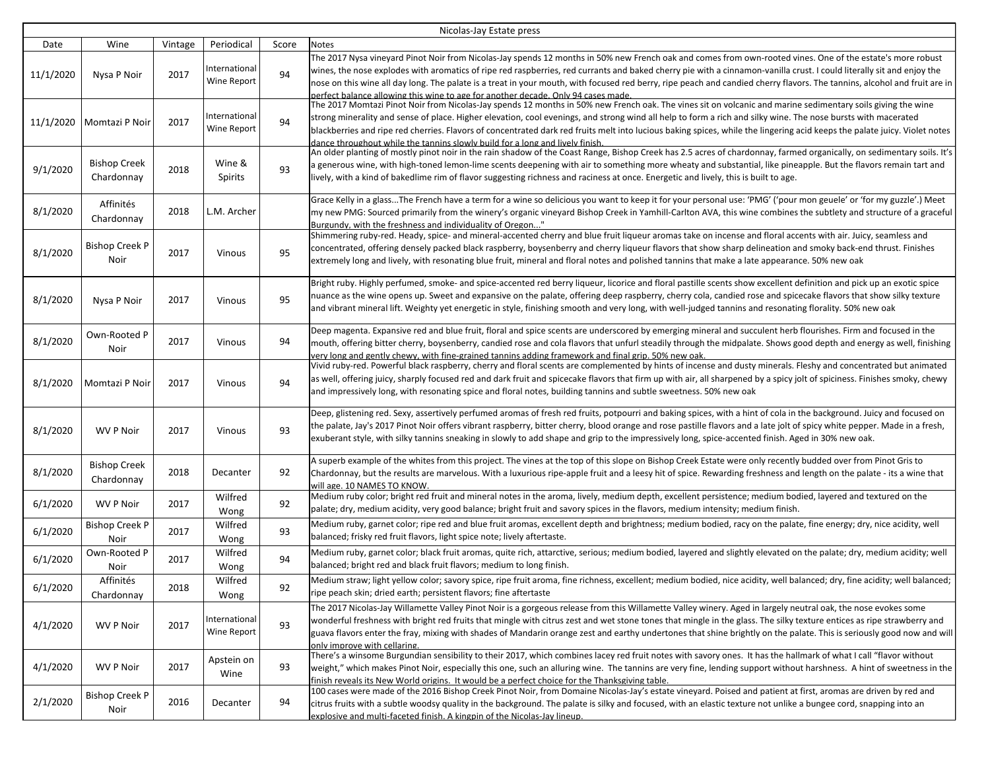| Nicolas-Jay Estate press |                                   |         |                              |       |                                                                                                                                                                                                                                                                                                                                                                                                                                                                                                                                                                                                       |  |
|--------------------------|-----------------------------------|---------|------------------------------|-------|-------------------------------------------------------------------------------------------------------------------------------------------------------------------------------------------------------------------------------------------------------------------------------------------------------------------------------------------------------------------------------------------------------------------------------------------------------------------------------------------------------------------------------------------------------------------------------------------------------|--|
| Date                     | Wine                              | Vintage | Periodical                   | Score | Notes                                                                                                                                                                                                                                                                                                                                                                                                                                                                                                                                                                                                 |  |
| 11/1/2020                | Nysa P Noir                       | 2017    | International<br>Wine Report | 94    | The 2017 Nysa vineyard Pinot Noir from Nicolas-Jay spends 12 months in 50% new French oak and comes from own-rooted vines. One of the estate's more robust<br>wines, the nose explodes with aromatics of ripe red raspberries, red currants and baked cherry pie with a cinnamon-vanilla crust. I could literally sit and enjoy the<br>nose on this wine all day long. The palate is a treat in your mouth, with focused red berry, ripe peach and candied cherry flavors. The tannins, alcohol and fruit are in<br>perfect balance allowing this wine to age for another decade. Only 94 cases made. |  |
| 11/1/2020                | Momtazi P Noir                    | 2017    | International<br>Wine Report | 94    | The 2017 Momtazi Pinot Noir from Nicolas-Jay spends 12 months in 50% new French oak. The vines sit on volcanic and marine sedimentary soils giving the wine<br>strong minerality and sense of place. Higher elevation, cool evenings, and strong wind all help to form a rich and silky wine. The nose bursts with macerated<br>blackberries and ripe red cherries. Flavors of concentrated dark red fruits melt into lucious baking spices, while the lingering acid keeps the palate juicy. Violet notes<br>dance throughout while the tannins slowly build for a long and lively finish.           |  |
| 9/1/2020                 | <b>Bishop Creek</b><br>Chardonnay | 2018    | Wine &<br>Spirits            | 93    | An older planting of mostly pinot noir in the rain shadow of the Coast Range, Bishop Creek has 2.5 acres of chardonnay, farmed organically, on sedimentary soils. It's<br>a generous wine, with high-toned lemon-lime scents deepening with air to something more wheaty and substantial, like pineapple. But the flavors remain tart and<br>lively, with a kind of bakedlime rim of flavor suggesting richness and raciness at once. Energetic and lively, this is built to age.                                                                                                                     |  |
| 8/1/2020                 | Affinités<br>Chardonnay           | 2018    | L.M. Archer                  |       | Grace Kelly in a glassThe French have a term for a wine so delicious you want to keep it for your personal use: 'PMG' ('pour mon geuele' or 'for my guzzle'.) Meet<br>my new PMG: Sourced primarily from the winery's organic vineyard Bishop Creek in Yamhill-Carlton AVA, this wine combines the subtlety and structure of a graceful<br>Burgundy, with the freshness and individuality of Oregon"                                                                                                                                                                                                  |  |
| 8/1/2020                 | <b>Bishop Creek P</b><br>Noir     | 2017    | Vinous                       | 95    | Shimmering ruby-red. Heady, spice- and mineral-accented cherry and blue fruit liqueur aromas take on incense and floral accents with air. Juicy, seamless and<br>concentrated, offering densely packed black raspberry, boysenberry and cherry liqueur flavors that show sharp delineation and smoky back-end thrust. Finishes<br>extremely long and lively, with resonating blue fruit, mineral and floral notes and polished tannins that make a late appearance. 50% new oak                                                                                                                       |  |
| 8/1/2020                 | Nysa P Noir                       | 2017    | Vinous                       | 95    | Bright ruby. Highly perfumed, smoke- and spice-accented red berry liqueur, licorice and floral pastille scents show excellent definition and pick up an exotic spice<br>nuance as the wine opens up. Sweet and expansive on the palate, offering deep raspberry, cherry cola, candied rose and spicecake flavors that show silky texture<br>and vibrant mineral lift. Weighty yet energetic in style, finishing smooth and very long, with well-judged tannins and resonating florality. 50% new oak                                                                                                  |  |
| 8/1/2020                 | Own-Rooted P<br>Noir              | 2017    | Vinous                       | 94    | Deep magenta. Expansive red and blue fruit, floral and spice scents are underscored by emerging mineral and succulent herb flourishes. Firm and focused in the<br>mouth, offering bitter cherry, boysenberry, candied rose and cola flavors that unfurl steadily through the midpalate. Shows good depth and energy as well, finishing<br>very long and gently chewy, with fine-grained tannins adding framework and final grip. 50% new oak.                                                                                                                                                         |  |
| 8/1/2020                 | Momtazi P Noir                    | 2017    | Vinous                       | 94    | Vivid ruby-red. Powerful black raspberry, cherry and floral scents are complemented by hints of incense and dusty minerals. Fleshy and concentrated but animated<br>as well, offering juicy, sharply focused red and dark fruit and spicecake flavors that firm up with air, all sharpened by a spicy jolt of spiciness. Finishes smoky, chewy<br>and impressively long, with resonating spice and floral notes, building tannins and subtle sweetness. 50% new oak                                                                                                                                   |  |
| 8/1/2020                 | <b>WV P Noir</b>                  | 2017    | Vinous                       | 93    | Deep, glistening red. Sexy, assertively perfumed aromas of fresh red fruits, potpourri and baking spices, with a hint of cola in the background. Juicy and focused on<br>the palate, Jay's 2017 Pinot Noir offers vibrant raspberry, bitter cherry, blood orange and rose pastille flavors and a late jolt of spicy white pepper. Made in a fresh,<br>exuberant style, with silky tannins sneaking in slowly to add shape and grip to the impressively long, spice-accented finish. Aged in 30% new oak.                                                                                              |  |
| 8/1/2020                 | <b>Bishop Creek</b><br>Chardonnay | 2018    | Decanter                     | 92    | A superb example of the whites from this project. The vines at the top of this slope on Bishop Creek Estate were only recently budded over from Pinot Gris to<br>Chardonnay, but the results are marvelous. With a luxurious ripe-apple fruit and a leesy hit of spice. Rewarding freshness and length on the palate - its a wine that<br>will age. 10 NAMES TO KNOW.                                                                                                                                                                                                                                 |  |
| 6/1/2020                 | <b>WV P Noir</b>                  | 2017    | Wilfred<br>Wong              | 92    | Medium ruby color; bright red fruit and mineral notes in the aroma, lively, medium depth, excellent persistence; medium bodied, layered and textured on the<br>palate; dry, medium acidity, very good balance; bright fruit and savory spices in the flavors, medium intensity; medium finish.                                                                                                                                                                                                                                                                                                        |  |
| 6/1/2020                 | <b>Bishop Creek P</b><br>Noir     | 2017    | Wilfred<br>Wong              | 93    | Medium ruby, garnet color; ripe red and blue fruit aromas, excellent depth and brightness; medium bodied, racy on the palate, fine energy; dry, nice acidity, well<br>balanced; frisky red fruit flavors, light spice note; lively aftertaste.                                                                                                                                                                                                                                                                                                                                                        |  |
| 6/1/2020                 | Own-Rooted P<br>Noir              | 2017    | Wilfred<br>Wong              | 94    | Medium ruby, garnet color; black fruit aromas, quite rich, attarctive, serious; medium bodied, layered and slightly elevated on the palate; dry, medium acidity; well<br>balanced; bright red and black fruit flavors; medium to long finish.                                                                                                                                                                                                                                                                                                                                                         |  |
| 6/1/2020                 | Affinités<br>Chardonnay           | 2018    | Wilfred<br>Wong              | 92    | Medium straw; light yellow color; savory spice, ripe fruit aroma, fine richness, excellent; medium bodied, nice acidity, well balanced; dry, fine acidity; well balanced;<br>ripe peach skin; dried earth; persistent flavors; fine aftertaste                                                                                                                                                                                                                                                                                                                                                        |  |
| 4/1/2020                 | WV P Noir                         | 2017    | International<br>Wine Report | 93    | The 2017 Nicolas-Jay Willamette Valley Pinot Noir is a gorgeous release from this Willamette Valley winery. Aged in largely neutral oak, the nose evokes some<br>wonderful freshness with bright red fruits that mingle with citrus zest and wet stone tones that mingle in the glass. The silky texture entices as ripe strawberry and<br>guava flavors enter the fray, mixing with shades of Mandarin orange zest and earthy undertones that shine brightly on the palate. This is seriously good now and will<br>only improve with cellaring.                                                      |  |
| 4/1/2020                 | <b>WV P Noir</b>                  | 2017    | Apstein on<br>Wine           | 93    | There's a winsome Burgundian sensibility to their 2017, which combines lacey red fruit notes with savory ones. It has the hallmark of what I call "flavor without<br>weight," which makes Pinot Noir, especially this one, such an alluring wine. The tannins are very fine, lending support without harshness. A hint of sweetness in the<br>finish reveals its New World origins. It would be a perfect choice for the Thanksgiving table.                                                                                                                                                          |  |
| 2/1/2020                 | <b>Bishop Creek P</b><br>Noir     | 2016    | Decanter                     | 94    | 100 cases were made of the 2016 Bishop Creek Pinot Noir, from Domaine Nicolas-Jay's estate vineyard. Poised and patient at first, aromas are driven by red and<br>citrus fruits with a subtle woodsy quality in the background. The palate is silky and focused, with an elastic texture not unlike a bungee cord, snapping into an<br>explosive and multi-faceted finish. A kingpin of the Nicolas-Jav lineup.                                                                                                                                                                                       |  |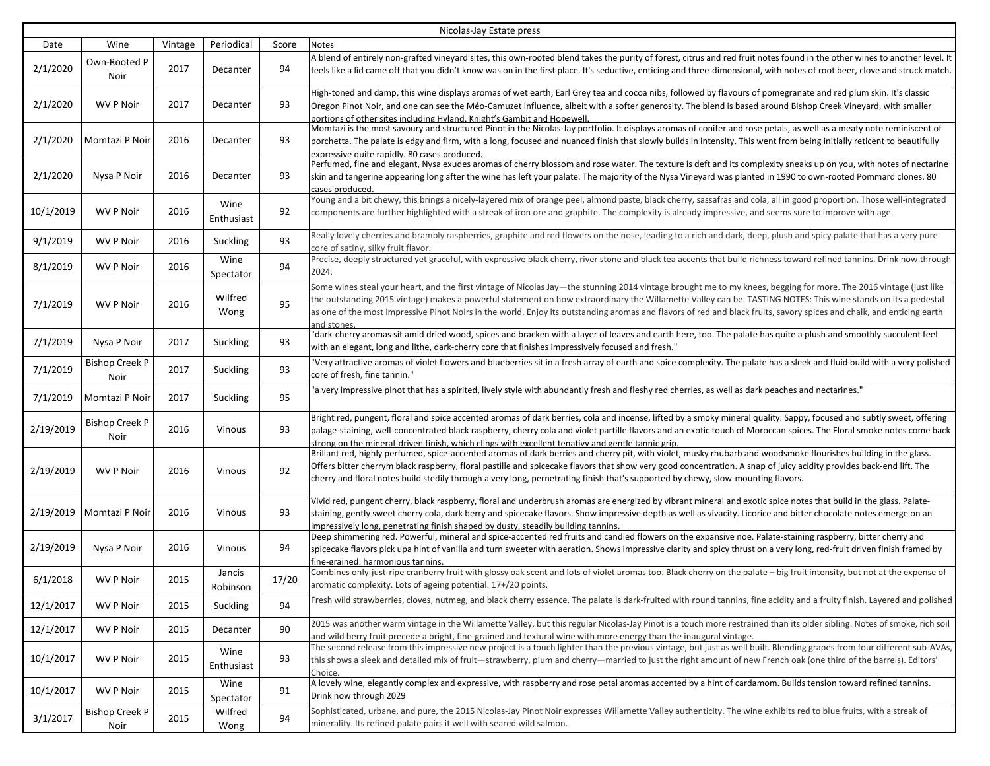| Nicolas-Jay Estate press |                               |         |                    |       |                                                                                                                                                                                                                                                                                                                                                                                                                                                                                                                           |  |  |
|--------------------------|-------------------------------|---------|--------------------|-------|---------------------------------------------------------------------------------------------------------------------------------------------------------------------------------------------------------------------------------------------------------------------------------------------------------------------------------------------------------------------------------------------------------------------------------------------------------------------------------------------------------------------------|--|--|
| Date                     | Wine                          | Vintage | Periodical         | Score | Notes                                                                                                                                                                                                                                                                                                                                                                                                                                                                                                                     |  |  |
| 2/1/2020                 | Own-Rooted P<br>Noir          | 2017    | Decanter           | 94    | A blend of entirely non-grafted vineyard sites, this own-rooted blend takes the purity of forest, citrus and red fruit notes found in the other wines to another level. It<br>feels like a lid came off that you didn't know was on in the first place. It's seductive, enticing and three-dimensional, with notes of root beer, clove and struck match.                                                                                                                                                                  |  |  |
| 2/1/2020                 | <b>WV P Noir</b>              | 2017    | Decanter           | 93    | High-toned and damp, this wine displays aromas of wet earth, Earl Grey tea and cocoa nibs, followed by flavours of pomegranate and red plum skin. It's classic<br>Oregon Pinot Noir, and one can see the Méo-Camuzet influence, albeit with a softer generosity. The blend is based around Bishop Creek Vineyard, with smaller<br>portions of other sites including Hyland, Knight's Gambit and Hopewell.                                                                                                                 |  |  |
| 2/1/2020                 | Momtazi P Noir                | 2016    | Decanter           | 93    | Momtazi is the most savoury and structured Pinot in the Nicolas-Jay portfolio. It displays aromas of conifer and rose petals, as well as a meaty note reminiscent of<br>porchetta. The palate is edgy and firm, with a long, focused and nuanced finish that slowly builds in intensity. This went from being initially reticent to beautifully<br>expressive quite rapidly. 80 cases produced.                                                                                                                           |  |  |
| 2/1/2020                 | Nysa P Noir                   | 2016    | Decanter           | 93    | Perfumed, fine and elegant, Nysa exudes aromas of cherry blossom and rose water. The texture is deft and its complexity sneaks up on you, with notes of nectarine<br>skin and tangerine appearing long after the wine has left your palate. The majority of the Nysa Vineyard was planted in 1990 to own-rooted Pommard clones. 80<br>cases produced.                                                                                                                                                                     |  |  |
| 10/1/2019                | <b>WV P Noir</b>              | 2016    | Wine<br>Enthusiast | 92    | Young and a bit chewy, this brings a nicely-layered mix of orange peel, almond paste, black cherry, sassafras and cola, all in good proportion. Those well-integrated<br>components are further highlighted with a streak of iron ore and graphite. The complexity is already impressive, and seems sure to improve with age.                                                                                                                                                                                             |  |  |
| 9/1/2019                 | WV P Noir                     | 2016    | Suckling           | 93    | Really lovely cherries and brambly raspberries, graphite and red flowers on the nose, leading to a rich and dark, deep, plush and spicy palate that has a very pure<br>core of satiny, silky fruit flavor.                                                                                                                                                                                                                                                                                                                |  |  |
| 8/1/2019                 | WV P Noir                     | 2016    | Wine<br>Spectator  | 94    | Precise, deeply structured yet graceful, with expressive black cherry, river stone and black tea accents that build richness toward refined tannins. Drink now through<br>2024.                                                                                                                                                                                                                                                                                                                                           |  |  |
| 7/1/2019                 | WV P Noir                     | 2016    | Wilfred<br>Wong    | 95    | Some wines steal your heart, and the first vintage of Nicolas Jay-the stunning 2014 vintage brought me to my knees, begging for more. The 2016 vintage (just like<br>the outstanding 2015 vintage) makes a powerful statement on how extraordinary the Willamette Valley can be. TASTING NOTES: This wine stands on its a pedestal<br>as one of the most impressive Pinot Noirs in the world. Enjoy its outstanding aromas and flavors of red and black fruits, savory spices and chalk, and enticing earth<br>and stones |  |  |
| 7/1/2019                 | Nysa P Noir                   | 2017    | Suckling           | 93    | "dark-cherry aromas sit amid dried wood, spices and bracken with a layer of leaves and earth here, too. The palate has quite a plush and smoothly succulent feel<br>with an elegant, long and lithe, dark-cherry core that finishes impressively focused and fresh."                                                                                                                                                                                                                                                      |  |  |
| 7/1/2019                 | <b>Bishop Creek P</b><br>Noir | 2017    | Suckling           | 93    | 'Very attractive aromas of violet flowers and blueberries sit in a fresh array of earth and spice complexity. The palate has a sleek and fluid build with a very polished<br>core of fresh, fine tannin."                                                                                                                                                                                                                                                                                                                 |  |  |
| 7/1/2019                 | Momtazi P Noir                | 2017    | Suckling           | 95    | 'a very impressive pinot that has a spirited, lively style with abundantly fresh and fleshy red cherries, as well as dark peaches and nectarines."                                                                                                                                                                                                                                                                                                                                                                        |  |  |
| 2/19/2019                | <b>Bishop Creek P</b><br>Noir | 2016    | Vinous             | 93    | Bright red, pungent, floral and spice accented aromas of dark berries, cola and incense, lifted by a smoky mineral quality. Sappy, focused and subtly sweet, offering<br>palage-staining, well-concentrated black raspberry, cherry cola and violet partille flavors and an exotic touch of Moroccan spices. The Floral smoke notes come back<br>strong on the mineral-driven finish. which clings with excellent tenativy and gentle tannic grip.                                                                        |  |  |
| 2/19/2019                | <b>WV P Noir</b>              | 2016    | Vinous             | 92    | Brillant red, highly perfumed, spice-accented aromas of dark berries and cherry pit, with violet, musky rhubarb and woodsmoke flourishes building in the glass.<br>Offers bitter cherrym black raspberry, floral pastille and spicecake flavors that show very good concentration. A snap of juicy acidity provides back-end lift. The<br>cherry and floral notes build stedily through a very long, pernetrating finish that's supported by chewy, slow-mounting flavors.                                                |  |  |
| 2/19/2019                | Momtazi P Noir                | 2016    | Vinous             | 93    | Vivid red, pungent cherry, black raspberry, floral and underbrush aromas are energized by vibrant mineral and exotic spice notes that build in the glass. Palate-<br>staining, gently sweet cherry cola, dark berry and spicecake flavors. Show impressive depth as well as vivacity. Licorice and bitter chocolate notes emerge on an<br>impressively long, penetrating finish shaped by dusty, steadily building tannins.                                                                                               |  |  |
| 2/19/2019                | Nysa P Noir                   | 2016    | Vinous             | 94    | Deep shimmering red. Powerful, mineral and spice-accented red fruits and candied flowers on the expansive noe. Palate-staining raspberry, bitter cherry and<br>spicecake flavors pick upa hint of vanilla and turn sweeter with aeration. Shows impressive clarity and spicy thrust on a very long, red-fruit driven finish framed by<br>fine-grained. harmonious tannins.                                                                                                                                                |  |  |
| 6/1/2018                 | WV P Noir                     | 2015    | Jancis<br>Robinson | 17/20 | Combines only-just-ripe cranberry fruit with glossy oak scent and lots of violet aromas too. Black cherry on the palate - big fruit intensity, but not at the expense of<br>aromatic complexity. Lots of ageing potential. 17+/20 points.                                                                                                                                                                                                                                                                                 |  |  |
| 12/1/2017                | WV P Noir                     | 2015    | Suckling           | 94    | Fresh wild strawberries, cloves, nutmeg, and black cherry essence. The palate is dark-fruited with round tannins, fine acidity and a fruity finish. Layered and polished                                                                                                                                                                                                                                                                                                                                                  |  |  |
| 12/1/2017                | <b>WV P Noir</b>              | 2015    | Decanter           | 90    | 2015 was another warm vintage in the Willamette Valley, but this regular Nicolas-Jay Pinot is a touch more restrained than its older sibling. Notes of smoke, rich soil<br>and wild berry fruit precede a bright, fine-grained and textural wine with more energy than the inaugural vintage.                                                                                                                                                                                                                             |  |  |
| 10/1/2017                | WV P Noir                     | 2015    | Wine<br>Enthusiast | 93    | The second release from this impressive new project is a touch lighter than the previous vintage, but just as well built. Blending grapes from four different sub-AVAs,<br>this shows a sleek and detailed mix of fruit—strawberry, plum and cherry—married to just the right amount of new French oak (one third of the barrels). Editors'<br>Choice.                                                                                                                                                                    |  |  |
| 10/1/2017                | <b>WV P Noir</b>              | 2015    | Wine<br>Spectator  | 91    | A lovely wine, elegantly complex and expressive, with raspberry and rose petal aromas accented by a hint of cardamom. Builds tension toward refined tannins.<br>Drink now through 2029                                                                                                                                                                                                                                                                                                                                    |  |  |
| 3/1/2017                 | <b>Bishop Creek P</b><br>Noir | 2015    | Wilfred<br>Wong    | 94    | Sophisticated, urbane, and pure, the 2015 Nicolas-Jay Pinot Noir expresses Willamette Valley authenticity. The wine exhibits red to blue fruits, with a streak of<br>minerality. Its refined palate pairs it well with seared wild salmon.                                                                                                                                                                                                                                                                                |  |  |